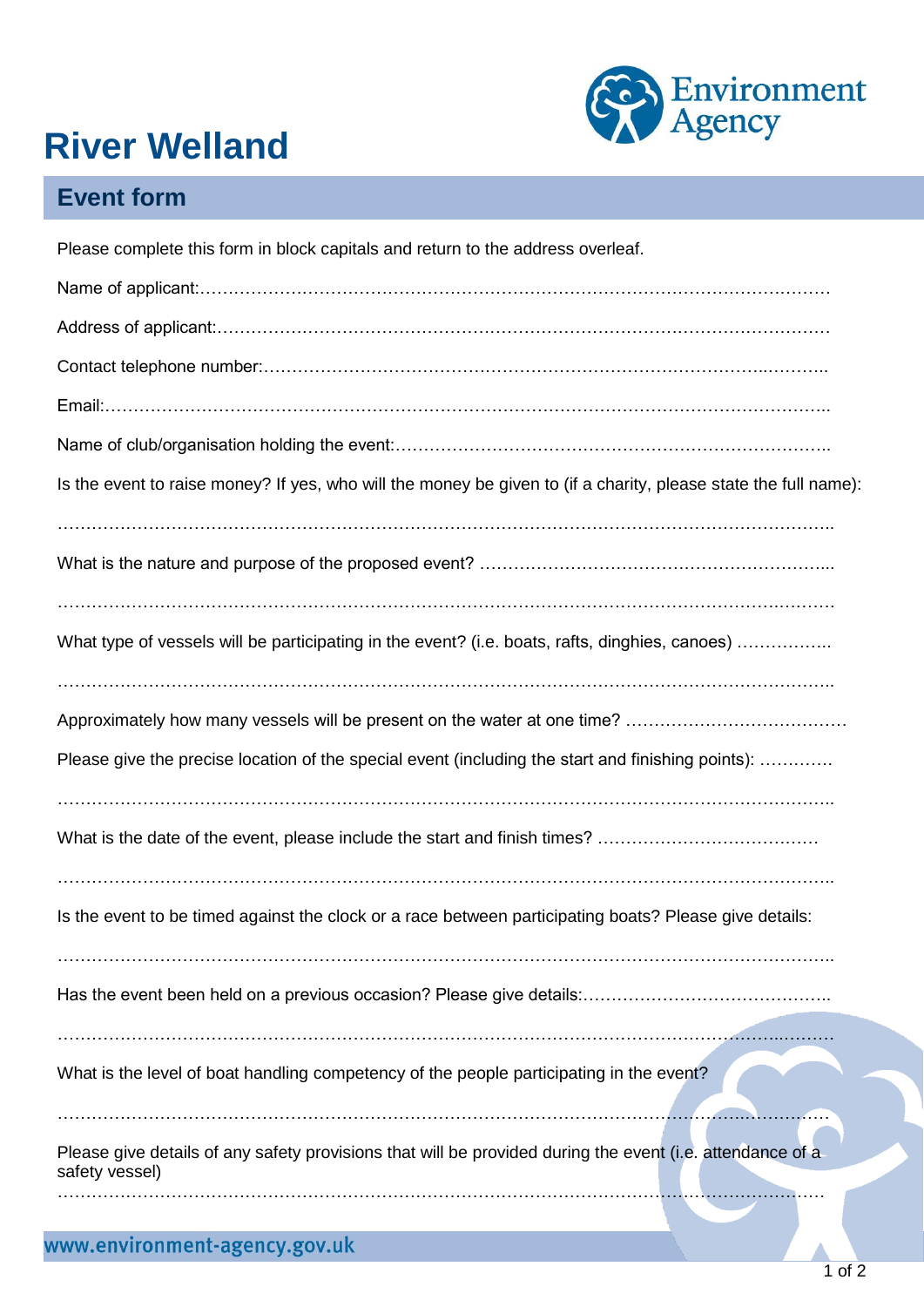

## **River Welland**

## **Event form**

| Please complete this form in block capitals and return to the address overleaf.                                             |
|-----------------------------------------------------------------------------------------------------------------------------|
|                                                                                                                             |
|                                                                                                                             |
|                                                                                                                             |
|                                                                                                                             |
|                                                                                                                             |
| Is the event to raise money? If yes, who will the money be given to (if a charity, please state the full name):             |
|                                                                                                                             |
| What type of vessels will be participating in the event? (i.e. boats, rafts, dinghies, canoes)                              |
|                                                                                                                             |
| Please give the precise location of the special event (including the start and finishing points):                           |
|                                                                                                                             |
| Is the event to be timed against the clock or a race between participating boats? Please give details:                      |
|                                                                                                                             |
| What is the level of boat handling competency of the people participating in the event?                                     |
| Please give details of any safety provisions that will be provided during the event (i.e. attendance of a<br>safety vessel) |
|                                                                                                                             |